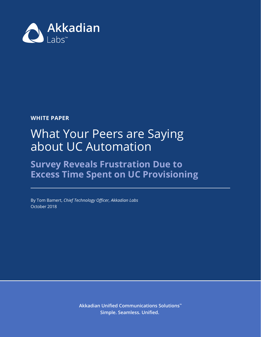

**WHITE PAPER**

# What Your Peers are Saying about UC Automation

# **Survey Reveals Frustration Due to Excess Time Spent on UC Provisioning**

By Tom Bamert, *Chief Technology Officer, Akkadian Labs* October 2018

> **Akkadian Unified Communications Solutions™ Simple. Seamless. Unified.**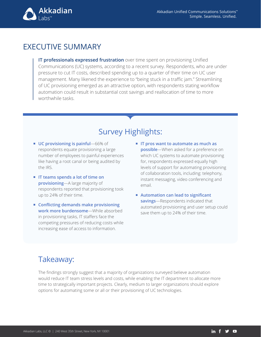

## EXECUTIVE SUMMARY

**IT professionals expressed frustration** over time spent on provisioning Unified Communications (UC) systems, according to a recent survey. Respondents, who are under pressure to cut IT costs, described spending up to a quarter of their time on UC user management. Many likened the experience to "being stuck in a traffic jam." Streamlining of UC provisioning emerged as an attractive option, with respondents stating workflow automation could result in substantial cost savings and reallocation of time to more worthwhile tasks.

# Survey Highlights:

- **UC provisioning is painful**—66% of respondents equate provisioning a large number of employees to painful experiences like having a root canal or being audited by the IRS.
- **IT teams spends a lot of time on provisioning**—A large majority of respondents reported that provisioning took up to 24% of their time.
- **Conflicting demands make provisioning work more burdensome**—While absorbed in provisioning tasks, IT staffers face the competing pressures of reducing costs while increasing ease of access to information.
- **IT pros want to automate as much as possible**—When asked for a preference on which UC systems to automate provisioning for, respondents expressed equally high levels of support for automating provisioning of collaboration tools, including: telephony, instant messaging, video conferencing and email.
- **Automation can lead to significant savings**—Respondents indicated that automated provisioning and user setup could save them up to 24% of their time.

## Takeaway:

The findings strongly suggest that a majority of organizations surveyed believe automation would reduce IT team stress levels and costs, while enabling the IT department to allocate more time to strategically important projects. Clearly, medium to larger organizations should explore options for automating some or all or their provisioning of UC technologies.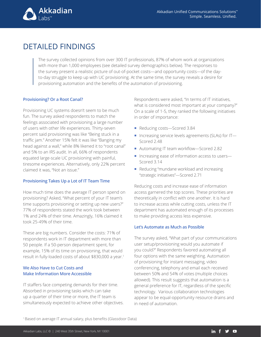

# DETAILED FINDINGS

The survey collected opinions from over 300 IT professionals, 87% of whom work at organizations with more than 1,000 employees (see detailed survey demographics below). The responses to the survey present a realistic picture of out-of-pocket costs—and opportunity costs—of the dayto-day struggle to keep up with UC provisioning. At the same time, the survey reveals a desire for provisioning automation and the benefits of the automation of provisioning.

#### **Provisioning? Or a Root Canal?**

Provisioning UC systems doesn't seem to be much fun. The survey asked respondents to match the feelings associated with provisioning a large number of users with other life experiences. Thirty-seven percent said provisioning was like "Being stuck in a traffic jam." Another 15% felt it was like "Banging my head against a wall," while 8% likened it to "root canal" and 5% to an IRS audit. In all, 66% of respondents equated large-scale UC provisioning with painful, tiresome experiences. Alternatively, only 22% percent claimed it was, "Not an issue."

#### **Provisioning Takes Up a Lot of IT Team Time**

How much time does the average IT person spend on provisioning? Asked, "What percent of your IT team's time supports provisioning or setting up new users?" 77% of respondents stated the work took between 1% and 24% of their time. Amazingly, 16% claimed it took 25-49% of their time.

These are big numbers. Consider the costs: 71% of respondents work in IT department with more than 50 people. If a 50-person department spent, for example, 15% of its time on provisioning, that would result in fully-loaded costs of about \$830,000 a year.1

#### **We Also Have to Cut Costs and Make Information More Accessible**

IT staffers face competing demands for their time. Absorbed in provisioning tasks which can take up a quarter of their time or more, the IT team is simultaneously expected to achieve other objectives. Respondents were asked, "In terms of IT initiatives, what is considered most important at your company?" On a scale of 1-5, they ranked the following initiatives in order of importance:

- Reducing costs-Scored 3.84
- Increasing service levels agreements (SLAs) for IT-Scored 2.48
- Automating IT team workflow—Scored 2.82
- Increasing ease of information access to users-Scored 3.14
- Reducing "mundane workload and increasing "strategic initiatives"—Scored 2.71

Reducing costs and increase ease of information access garnered the top scores. These priorities are theoretically in conflict with one another. It is hard to increase access while cutting costs, unless the IT department has automated enough of its processes to make providing access less expensive.

#### **Let's Automate as Much as Possible**

The survey asked, "What part of your communications user setup/provisioning would you automate if you could?" Respondents favored automating all four options with the same weighting. Automation of provisioning for instant messaging, video conferencing, telephony and email each received between 50% and 54% of votes (multiple choices allowed). This result suggests that automation is a general preference for IT, regardless of the specific technology. Various collaboration technologies appear to be equal-opportunity resource drains and in need of automation.

1 Based on average IT annual salary, plus benefits (Glassdoor Data)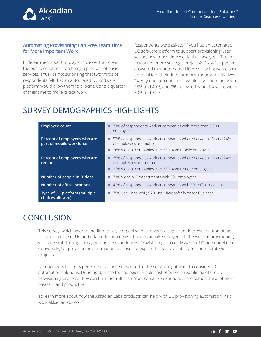

#### **Automating Provisioning Can Free Team Time for More Important Work**

IT departments want to play a more central role in the business rather than being a provider of basic services. Thus, it's not surprising that two thirds of respondents felt that an automated UC software platform would allow them to allocate up to a quarter of their time to more critical work.

Respondents were asked, "If you had an automated UC software platform to support provisioning/user set-up, how much time would this save your IT team to work on more strategic projects?" Sixty-five percent answered that automated UC provisioning would save up to 24% of their time for more important initiatives. Twenty-one percent said it would save them between 25% and 49%, and 9% believed it would save between 50% and 74%.

# SURVEY DEMOGRAPHICS HIGHLIGHTS

| <b>Employee count</b>                                    | ■ 71% of respondents work at companies with more than 5,000<br>employees                                                                             |
|----------------------------------------------------------|------------------------------------------------------------------------------------------------------------------------------------------------------|
| Percent of employees who are<br>part of mobile workforce | ■ 57% of respondents work at companies where between 1% and 24%<br>of employees are mobile<br>26% work at companies with 25%-49% mobile employees    |
| Percent of employees who are<br>remote                   | 65% of respondents work at companies where between 1% and 24%<br>ш<br>of employees are remote<br>23% work at companies with 25%-49% remote employees |
| Number of people in IT dept.                             | ■ 71% work in IT departments with 50+ employees                                                                                                      |
| <b>Number of office locations</b>                        | 42% of respondents work at companies with 50+ office locations                                                                                       |
| Type of UC platform (multiple<br>choices allowed)        | ■ 75% use Cisco VoIP; 57% use Microsoft Skype for Business                                                                                           |

# **CONCLUSION**

This survey, which favored medium to large organizations, reveals a significant interest in automating the provisioning of UC and related technologies. IT professionals surveyed felt the work of provisioning was stressful, likening it to agonizing life experiences. Provisioning is a costly waste of IT personnel time. Conversely, UC provisioning automation promises to expand IT team availability for more strategic projects.

UC engineers facing experiences like those described in the survey might want to consider UC automation solutions. Done right, these technologies enable cost effective streamlining of the UC provisioning process. They can turn the traffic jam/root canal-like experience into something a lot more pleasant and productive.

To learn more about how the Akkadian Labs products can help with UC provisioning automation, visit www.akkadianlabs.com.